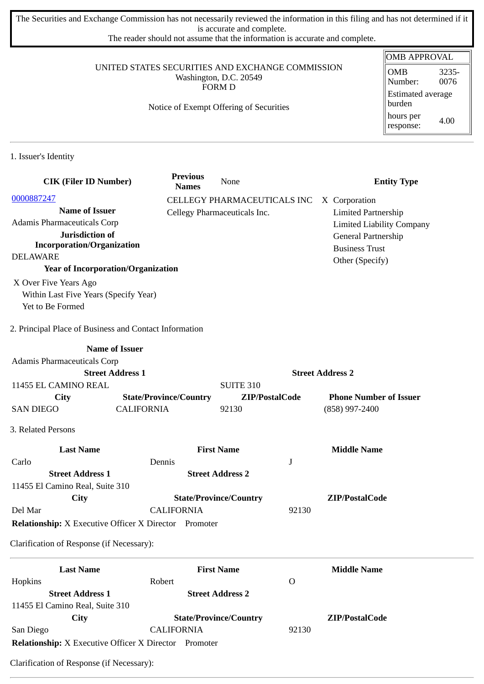The Securities and Exchange Commission has not necessarily reviewed the information in this filing and has not determined if it is accurate and complete.

The reader should not assume that the information is accurate and complete.

#### UNITED STATES SECURITIES AND EXCHANGE COMMISSION Washington, D.C. 20549 FORM D

## Notice of Exempt Offering of Securities

| <b>OMB APPROVAL</b>                |       |  |  |
|------------------------------------|-------|--|--|
| <b>OMB</b>                         | 3235- |  |  |
| Number:                            | 0076  |  |  |
| <b>Estimated average</b><br>burden |       |  |  |
| hours per<br>response:             | 4.00  |  |  |

1. Issuer's Identity

| <b>CIK (Filer ID Number)</b>                                 | <b>Previous</b><br><b>Names</b> | None                          |                         | <b>Entity Type</b>               |
|--------------------------------------------------------------|---------------------------------|-------------------------------|-------------------------|----------------------------------|
| 0000887247                                                   |                                 | CELLEGY PHARMACEUTICALS INC   |                         | X Corporation                    |
| <b>Name of Issuer</b>                                        |                                 | Cellegy Pharmaceuticals Inc.  |                         | <b>Limited Partnership</b>       |
| <b>Adamis Pharmaceuticals Corp</b>                           |                                 |                               |                         | <b>Limited Liability Company</b> |
| Jurisdiction of                                              |                                 |                               |                         | General Partnership              |
| <b>Incorporation/Organization</b>                            |                                 |                               |                         | <b>Business Trust</b>            |
| <b>DELAWARE</b>                                              |                                 |                               |                         | Other (Specify)                  |
| <b>Year of Incorporation/Organization</b>                    |                                 |                               |                         |                                  |
| X Over Five Years Ago                                        |                                 |                               |                         |                                  |
| Within Last Five Years (Specify Year)                        |                                 |                               |                         |                                  |
| Yet to Be Formed                                             |                                 |                               |                         |                                  |
| 2. Principal Place of Business and Contact Information       |                                 |                               |                         |                                  |
| <b>Name of Issuer</b>                                        |                                 |                               |                         |                                  |
| Adamis Pharmaceuticals Corp                                  |                                 |                               |                         |                                  |
| <b>Street Address 1</b>                                      |                                 |                               | <b>Street Address 2</b> |                                  |
| 11455 EL CAMINO REAL                                         |                                 | <b>SUITE 310</b>              |                         |                                  |
| City                                                         | <b>State/Province/Country</b>   | ZIP/PostalCode                |                         | <b>Phone Number of Issuer</b>    |
| <b>SAN DIEGO</b><br><b>CALIFORNIA</b>                        |                                 | 92130                         |                         | (858) 997-2400                   |
| 3. Related Persons                                           |                                 |                               |                         |                                  |
| <b>Last Name</b>                                             |                                 | <b>First Name</b>             |                         | <b>Middle Name</b>               |
| Carlo                                                        | Dennis                          |                               | J                       |                                  |
| <b>Street Address 1</b>                                      |                                 | <b>Street Address 2</b>       |                         |                                  |
| 11455 El Camino Real, Suite 310                              |                                 |                               |                         |                                  |
| City                                                         |                                 | <b>State/Province/Country</b> |                         | ZIP/PostalCode                   |
| Del Mar                                                      | <b>CALIFORNIA</b>               |                               | 92130                   |                                  |
| <b>Relationship:</b> X Executive Officer X Director Promoter |                                 |                               |                         |                                  |
| Clarification of Response (if Necessary):                    |                                 |                               |                         |                                  |
| <b>Last Name</b>                                             |                                 | <b>First Name</b>             |                         | <b>Middle Name</b>               |
| Hopkins                                                      | Robert                          |                               | $\overline{O}$          |                                  |
| <b>Street Address 1</b>                                      |                                 | <b>Street Address 2</b>       |                         |                                  |
| 11455 El Camino Real, Suite 310                              |                                 |                               |                         |                                  |
| <b>City</b>                                                  |                                 | <b>State/Province/Country</b> |                         | ZIP/PostalCode                   |
| San Diego                                                    | <b>CALIFORNIA</b>               |                               | 92130                   |                                  |
| <b>Relationship:</b> X Executive Officer X Director Promoter |                                 |                               |                         |                                  |

Clarification of Response (if Necessary):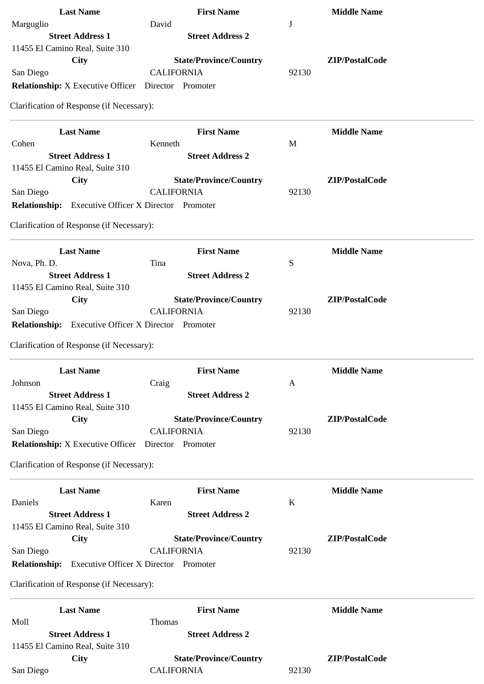| <b>Last Name</b>                                           | <b>First Name</b>                            | <b>Middle Name</b> |
|------------------------------------------------------------|----------------------------------------------|--------------------|
| Marguglio                                                  | David                                        | J                  |
| <b>Street Address 1</b>                                    | <b>Street Address 2</b>                      |                    |
| 11455 El Camino Real, Suite 310                            |                                              |                    |
| <b>City</b>                                                | <b>State/Province/Country</b>                | ZIP/PostalCode     |
| San Diego                                                  | <b>CALIFORNIA</b>                            | 92130              |
| <b>Relationship:</b> X Executive Officer                   | Director Promoter                            |                    |
| Clarification of Response (if Necessary):                  |                                              |                    |
| <b>Last Name</b>                                           | <b>First Name</b>                            | <b>Middle Name</b> |
| Cohen                                                      | Kenneth                                      | M                  |
| <b>Street Address 1</b>                                    | <b>Street Address 2</b>                      |                    |
| 11455 El Camino Real, Suite 310                            |                                              |                    |
| City                                                       | <b>State/Province/Country</b>                | ZIP/PostalCode     |
| San Diego                                                  | <b>CALIFORNIA</b>                            | 92130              |
| <b>Relationship:</b> Executive Officer X Director Promoter |                                              |                    |
| Clarification of Response (if Necessary):                  |                                              |                    |
| <b>Last Name</b>                                           | <b>First Name</b>                            | <b>Middle Name</b> |
| Nova, Ph. D.                                               | Tina                                         | ${\mathsf S}$      |
| <b>Street Address 1</b>                                    | <b>Street Address 2</b>                      |                    |
| 11455 El Camino Real, Suite 310                            |                                              |                    |
| City                                                       | <b>State/Province/Country</b>                | ZIP/PostalCode     |
| San Diego                                                  | <b>CALIFORNIA</b>                            | 92130              |
| <b>Relationship:</b>                                       | <b>Executive Officer X Director Promoter</b> |                    |
| Clarification of Response (if Necessary):                  |                                              |                    |
| <b>Last Name</b>                                           | <b>First Name</b>                            | <b>Middle Name</b> |
| Johnson                                                    | Craig                                        | A                  |
| <b>Street Address 1</b>                                    | <b>Street Address 2</b>                      |                    |
| 11455 El Camino Real, Suite 310                            |                                              |                    |
| <b>City</b>                                                | <b>State/Province/Country</b>                | ZIP/PostalCode     |
| San Diego                                                  | <b>CALIFORNIA</b>                            | 92130              |
| <b>Relationship:</b> X Executive Officer                   | Director Promoter                            |                    |
| Clarification of Response (if Necessary):                  |                                              |                    |
| <b>Last Name</b>                                           | <b>First Name</b>                            | <b>Middle Name</b> |
| Daniels                                                    | Karen                                        | K                  |
| <b>Street Address 1</b>                                    | <b>Street Address 2</b>                      |                    |
| 11455 El Camino Real, Suite 310                            |                                              |                    |
| City                                                       | <b>State/Province/Country</b>                | ZIP/PostalCode     |
| San Diego                                                  | <b>CALIFORNIA</b>                            | 92130              |
| <b>Relationship:</b>                                       | <b>Executive Officer X Director Promoter</b> |                    |
| Clarification of Response (if Necessary):                  |                                              |                    |
| <b>Last Name</b>                                           | <b>First Name</b>                            | <b>Middle Name</b> |
| Moll                                                       | Thomas                                       |                    |
| <b>Street Address 1</b>                                    | <b>Street Address 2</b>                      |                    |
| 11455 El Camino Real, Suite 310                            |                                              |                    |
| City                                                       | <b>State/Province/Country</b>                | ZIP/PostalCode     |
| San Diego                                                  | <b>CALIFORNIA</b>                            | 92130              |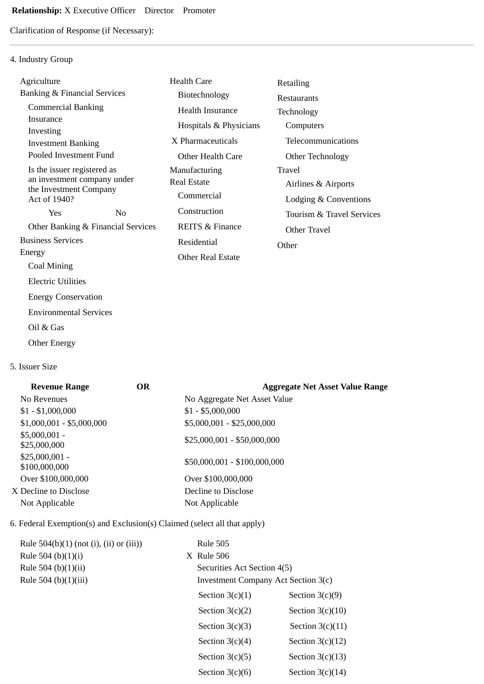Clarification of Response (if Necessary):

# 4. Industry Group

| Agriculture                                           |                | <b>Health Care</b>         | Retailing                 |
|-------------------------------------------------------|----------------|----------------------------|---------------------------|
| Banking & Financial Services                          |                | Biotechnology              | <b>Restaurants</b>        |
| <b>Commercial Banking</b>                             |                | <b>Health Insurance</b>    | Technology                |
| Insurance                                             |                | Hospitals & Physicians     | Computers                 |
| Investing<br><b>Investment Banking</b>                |                | X Pharmaceuticals          | Telecommunications        |
| Pooled Investment Fund                                |                | <b>Other Health Care</b>   | Other Technology          |
| Is the issuer registered as                           |                | Manufacturing              | Travel                    |
| an investment company under<br>the Investment Company |                | <b>Real Estate</b>         | Airlines & Airports       |
| Act of 1940?                                          |                | Commercial                 | Lodging & Conventions     |
| Yes                                                   | N <sub>0</sub> | Construction               | Tourism & Travel Services |
| Other Banking & Financial Services                    |                | <b>REITS &amp; Finance</b> | Other Travel              |
| <b>Business Services</b>                              |                | Residential                | Other                     |
| Energy                                                |                | <b>Other Real Estate</b>   |                           |
| Coal Mining                                           |                |                            |                           |
| <b>Electric Utilities</b>                             |                |                            |                           |
| <b>Energy Conservation</b>                            |                |                            |                           |
| <b>Environmental Services</b>                         |                |                            |                           |
|                                                       |                |                            |                           |

- Oil & Gas
- Other Energy

## 5. Issuer Size

| <b>Revenue Range</b>             | <b>OR</b> | <b>Aggregate Net Asset Value Range</b> |
|----------------------------------|-----------|----------------------------------------|
| No Revenues                      |           | No Aggregate Net Asset Value           |
| $$1 - $1,000,000$                |           | $$1 - $5,000,000$                      |
| $$1,000,001 - $5,000,000$        |           | \$5,000,001 - \$25,000,000             |
| $$5,000,001 -$<br>\$25,000,000   |           | $$25,000,001 - $50,000,000$            |
| $$25,000,001 -$<br>\$100,000,000 |           | \$50,000,001 - \$100,000,000           |
| Over \$100,000,000               |           | Over \$100,000,000                     |
| X Decline to Disclose            |           | Decline to Disclose                    |
| Not Applicable                   |           | Not Applicable                         |
|                                  |           |                                        |

## 6. Federal Exemption(s) and Exclusion(s) Claimed (select all that apply)

| Rule $504(b)(1)$ (not (i), (ii) or (iii)) | <b>Rule 505</b>                     |                    |
|-------------------------------------------|-------------------------------------|--------------------|
| Rule 504 (b) $(1)(i)$                     | $X$ Rule 506                        |                    |
| Rule 504 (b)(1)(ii)                       | Securities Act Section 4(5)         |                    |
| Rule 504 (b)(1)(iii)                      | Investment Company Act Section 3(c) |                    |
|                                           | Section $3(c)(1)$                   | Section $3(c)(9)$  |
|                                           | Section $3(c)(2)$                   | Section $3(c)(10)$ |
|                                           | Section $3(c)(3)$                   | Section $3(c)(11)$ |
|                                           | Section $3(c)(4)$                   | Section $3(c)(12)$ |
|                                           | Section $3(c)(5)$                   | Section $3(c)(13)$ |
|                                           | Section $3(c)(6)$                   | Section $3(c)(14)$ |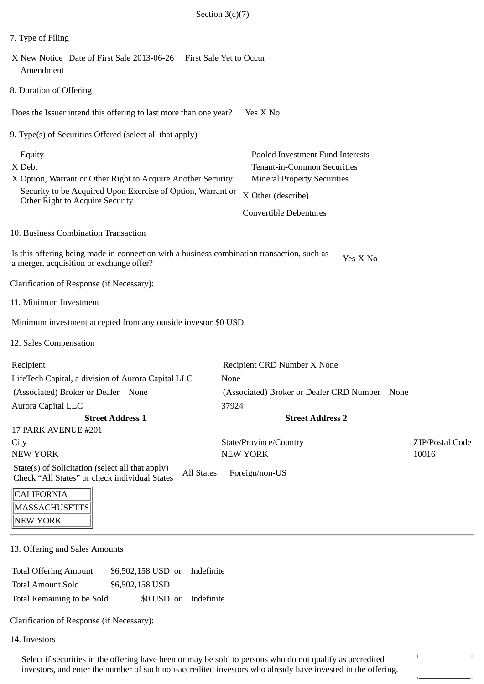| 7. Type of Filing                                                                                                                                                                  |                                                                                                                             |                          |
|------------------------------------------------------------------------------------------------------------------------------------------------------------------------------------|-----------------------------------------------------------------------------------------------------------------------------|--------------------------|
| X New Notice Date of First Sale 2013-06-26    First Sale Yet to Occur<br>Amendment                                                                                                 |                                                                                                                             |                          |
| 8. Duration of Offering                                                                                                                                                            |                                                                                                                             |                          |
| Does the Issuer intend this offering to last more than one year?                                                                                                                   | Yes X No                                                                                                                    |                          |
| 9. Type(s) of Securities Offered (select all that apply)                                                                                                                           |                                                                                                                             |                          |
| Equity<br>X Debt<br>X Option, Warrant or Other Right to Acquire Another Security<br>Security to be Acquired Upon Exercise of Option, Warrant or<br>Other Right to Acquire Security | Pooled Investment Fund Interests<br>Tenant-in-Common Securities<br><b>Mineral Property Securities</b><br>X Other (describe) |                          |
|                                                                                                                                                                                    | <b>Convertible Debentures</b>                                                                                               |                          |
| 10. Business Combination Transaction                                                                                                                                               |                                                                                                                             |                          |
| Is this offering being made in connection with a business combination transaction, such as<br>a merger, acquisition or exchange offer?                                             | Yes X No                                                                                                                    |                          |
| Clarification of Response (if Necessary):                                                                                                                                          |                                                                                                                             |                          |
| 11. Minimum Investment                                                                                                                                                             |                                                                                                                             |                          |
| Minimum investment accepted from any outside investor \$0 USD                                                                                                                      |                                                                                                                             |                          |
| 12. Sales Compensation                                                                                                                                                             |                                                                                                                             |                          |
| Recipient<br>LifeTech Capital, a division of Aurora Capital LLC<br>(Associated) Broker or Dealer None                                                                              | Recipient CRD Number X None<br>None<br>(Associated) Broker or Dealer CRD Number None                                        |                          |
| <b>Aurora Capital LLC</b>                                                                                                                                                          | 37924                                                                                                                       |                          |
| <b>Street Address 1</b>                                                                                                                                                            | <b>Street Address 2</b>                                                                                                     |                          |
| 17 PARK AVENUE #201                                                                                                                                                                |                                                                                                                             |                          |
| City<br><b>NEW YORK</b>                                                                                                                                                            | State/Province/Country<br><b>NEW YORK</b>                                                                                   | ZIP/Postal Code<br>10016 |
| State(s) of Solicitation (select all that apply)<br><b>All States</b><br>Check "All States" or check individual States                                                             | Foreign/non-US                                                                                                              |                          |
| <b>CALIFORNIA</b><br>MACCA CIHICETTC                                                                                                                                               |                                                                                                                             |                          |

 $\left\| \text{MASSACHUSETTS} \right\|$ **NEW YORK** 

13. Offering and Sales Amounts

Total Offering Amount \$6,502,158 USD or Indefinite Total Amount Sold \$6,502,158 USD Total Remaining to be Sold \$0 USD or Indefinite

Clarification of Response (if Necessary):

14. Investors

Select if securities in the offering have been or may be sold to persons who do not qualify as accredited investors, and enter the number of such non-accredited investors who already have invested in the offering.